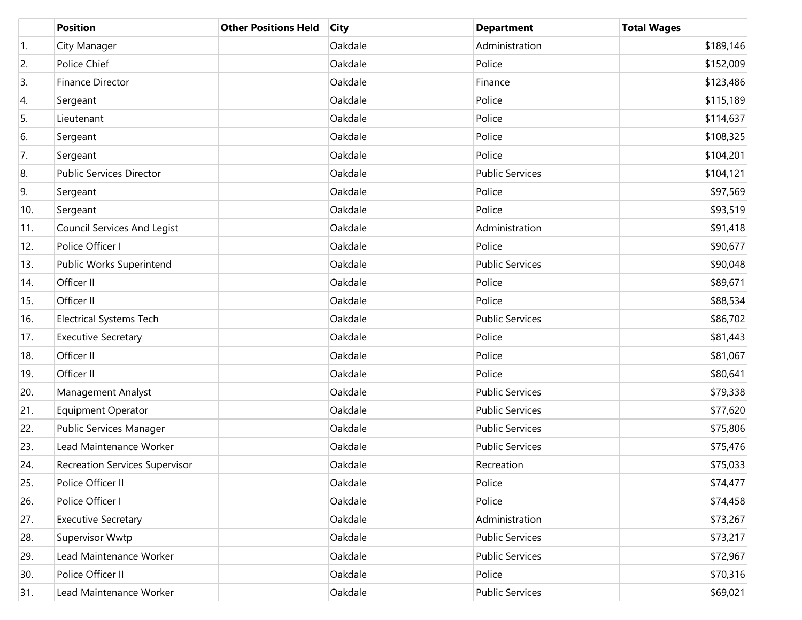|                  | <b>Position</b>                       | <b>Other Positions Held</b> | <b>City</b> | <b>Department</b>      | <b>Total Wages</b> |
|------------------|---------------------------------------|-----------------------------|-------------|------------------------|--------------------|
| $\overline{1}$ . | City Manager                          |                             | Oakdale     | Administration         | \$189,146          |
| 2.               | Police Chief                          |                             | Oakdale     | Police                 | \$152,009          |
| 3.               | Finance Director                      |                             | Oakdale     | Finance                | \$123,486          |
| 4.               | Sergeant                              |                             | Oakdale     | Police                 | \$115,189          |
| 5.               | Lieutenant                            |                             | Oakdale     | Police                 | \$114,637          |
| 6.               | Sergeant                              |                             | Oakdale     | Police                 | \$108,325          |
| 7.               | Sergeant                              |                             | Oakdale     | Police                 | \$104,201          |
| 8.               | Public Services Director              |                             | Oakdale     | <b>Public Services</b> | \$104,121          |
| 9.               | Sergeant                              |                             | Oakdale     | Police                 | \$97,569           |
| 10.              | Sergeant                              |                             | Oakdale     | Police                 | \$93,519           |
| 11.              | <b>Council Services And Legist</b>    |                             | Oakdale     | Administration         | \$91,418           |
| 12.              | Police Officer I                      |                             | Oakdale     | Police                 | \$90,677           |
| 13.              | Public Works Superintend              |                             | Oakdale     | <b>Public Services</b> | \$90,048           |
| 14.              | Officer II                            |                             | Oakdale     | Police                 | \$89,671           |
| 15.              | Officer II                            |                             | Oakdale     | Police                 | \$88,534           |
| 16.              | <b>Electrical Systems Tech</b>        |                             | Oakdale     | <b>Public Services</b> | \$86,702           |
| 17.              | <b>Executive Secretary</b>            |                             | Oakdale     | Police                 | \$81,443           |
| 18.              | Officer II                            |                             | Oakdale     | Police                 | \$81,067           |
| 19.              | Officer II                            |                             | Oakdale     | Police                 | \$80,641           |
| 20.              | Management Analyst                    |                             | Oakdale     | <b>Public Services</b> | \$79,338           |
| 21.              | <b>Equipment Operator</b>             |                             | Oakdale     | <b>Public Services</b> | \$77,620           |
| 22.              | Public Services Manager               |                             | Oakdale     | <b>Public Services</b> | \$75,806           |
| 23.              | Lead Maintenance Worker               |                             | Oakdale     | <b>Public Services</b> | \$75,476           |
| 24.              | <b>Recreation Services Supervisor</b> |                             | Oakdale     | Recreation             | \$75,033           |
| 25.              | Police Officer II                     |                             | Oakdale     | Police                 | \$74,477           |
| 26.              | Police Officer I                      |                             | Oakdale     | Police                 | \$74,458           |
| 27.              | <b>Executive Secretary</b>            |                             | Oakdale     | Administration         | \$73,267           |
| 28.              | Supervisor Wwtp                       |                             | Oakdale     | <b>Public Services</b> | \$73,217           |
| 29.              | Lead Maintenance Worker               |                             | Oakdale     | <b>Public Services</b> | \$72,967           |
| 30.              | Police Officer II                     |                             | Oakdale     | Police                 | \$70,316           |
| 31.              | Lead Maintenance Worker               |                             | Oakdale     | <b>Public Services</b> | \$69,021           |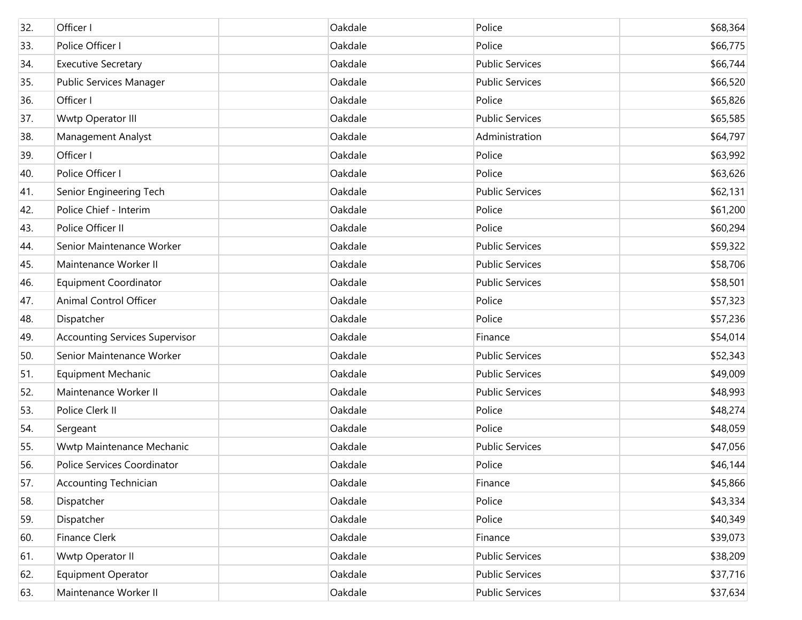| 32. | Officer I                             | Oakdale | Police                 | \$68,364 |
|-----|---------------------------------------|---------|------------------------|----------|
| 33. | Police Officer I                      | Oakdale | Police                 | \$66,775 |
| 34. | <b>Executive Secretary</b>            | Oakdale | <b>Public Services</b> | \$66,744 |
| 35. | Public Services Manager               | Oakdale | <b>Public Services</b> | \$66,520 |
| 36. | Officer I                             | Oakdale | Police                 | \$65,826 |
| 37. | Wwtp Operator III                     | Oakdale | <b>Public Services</b> | \$65,585 |
| 38. | Management Analyst                    | Oakdale | Administration         | \$64,797 |
| 39. | Officer I                             | Oakdale | Police                 | \$63,992 |
| 40. | Police Officer I                      | Oakdale | Police                 | \$63,626 |
| 41. | Senior Engineering Tech               | Oakdale | <b>Public Services</b> | \$62,131 |
| 42. | Police Chief - Interim                | Oakdale | Police                 | \$61,200 |
| 43. | Police Officer II                     | Oakdale | Police                 | \$60,294 |
| 44. | Senior Maintenance Worker             | Oakdale | <b>Public Services</b> | \$59,322 |
| 45. | Maintenance Worker II                 | Oakdale | <b>Public Services</b> | \$58,706 |
| 46. | <b>Equipment Coordinator</b>          | Oakdale | <b>Public Services</b> | \$58,501 |
| 47. | Animal Control Officer                | Oakdale | Police                 | \$57,323 |
| 48. | Dispatcher                            | Oakdale | Police                 | \$57,236 |
| 49. | <b>Accounting Services Supervisor</b> | Oakdale | Finance                | \$54,014 |
| 50. | Senior Maintenance Worker             | Oakdale | <b>Public Services</b> | \$52,343 |
| 51. | <b>Equipment Mechanic</b>             | Oakdale | <b>Public Services</b> | \$49,009 |
| 52. | Maintenance Worker II                 | Oakdale | <b>Public Services</b> | \$48,993 |
| 53. | Police Clerk II                       | Oakdale | Police                 | \$48,274 |
| 54. | Sergeant                              | Oakdale | Police                 | \$48,059 |
| 55. | Wwtp Maintenance Mechanic             | Oakdale | <b>Public Services</b> | \$47,056 |
| 56. | Police Services Coordinator           | Oakdale | Police                 | \$46,144 |
| 57. | <b>Accounting Technician</b>          | Oakdale | Finance                | \$45,866 |
| 58. | Dispatcher                            | Oakdale | Police                 | \$43,334 |
| 59. | Dispatcher                            | Oakdale | Police                 | \$40,349 |
| 60. | <b>Finance Clerk</b>                  | Oakdale | Finance                | \$39,073 |
| 61. | Wwtp Operator II                      | Oakdale | <b>Public Services</b> | \$38,209 |
| 62. | Equipment Operator                    | Oakdale | <b>Public Services</b> | \$37,716 |
| 63. | Maintenance Worker II                 | Oakdale | <b>Public Services</b> | \$37,634 |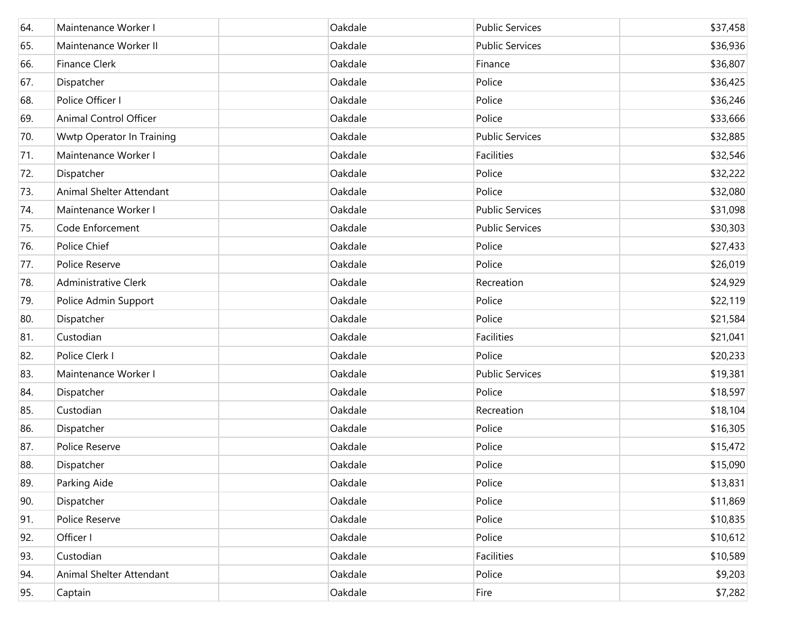| 64. | Maintenance Worker I        | Oakdale | <b>Public Services</b> | \$37,458 |
|-----|-----------------------------|---------|------------------------|----------|
| 65. | Maintenance Worker II       | Oakdale | <b>Public Services</b> | \$36,936 |
| 66. | <b>Finance Clerk</b>        | Oakdale | Finance                | \$36,807 |
| 67. | Dispatcher                  | Oakdale | Police                 | \$36,425 |
| 68. | Police Officer I            | Oakdale | Police                 | \$36,246 |
| 69. | Animal Control Officer      | Oakdale | Police                 | \$33,666 |
| 70. | Wwtp Operator In Training   | Oakdale | <b>Public Services</b> | \$32,885 |
| 71. | Maintenance Worker I        | Oakdale | Facilities             | \$32,546 |
| 72. | Dispatcher                  | Oakdale | Police                 | \$32,222 |
| 73. | Animal Shelter Attendant    | Oakdale | Police                 | \$32,080 |
| 74. | Maintenance Worker I        | Oakdale | <b>Public Services</b> | \$31,098 |
| 75. | Code Enforcement            | Oakdale | <b>Public Services</b> | \$30,303 |
| 76. | Police Chief                | Oakdale | Police                 | \$27,433 |
| 77. | Police Reserve              | Oakdale | Police                 | \$26,019 |
| 78. | <b>Administrative Clerk</b> | Oakdale | Recreation             | \$24,929 |
| 79. | Police Admin Support        | Oakdale | Police                 | \$22,119 |
| 80. | Dispatcher                  | Oakdale | Police                 | \$21,584 |
| 81. | Custodian                   | Oakdale | Facilities             | \$21,041 |
| 82. | Police Clerk I              | Oakdale | Police                 | \$20,233 |
| 83. | Maintenance Worker I        | Oakdale | <b>Public Services</b> | \$19,381 |
| 84. | Dispatcher                  | Oakdale | Police                 | \$18,597 |
| 85. | Custodian                   | Oakdale | Recreation             | \$18,104 |
| 86. | Dispatcher                  | Oakdale | Police                 | \$16,305 |
| 87. | Police Reserve              | Oakdale | Police                 | \$15,472 |
| 88. | Dispatcher                  | Oakdale | Police                 | \$15,090 |
| 89. | Parking Aide                | Oakdale | Police                 | \$13,831 |
| 90. | Dispatcher                  | Oakdale | Police                 | \$11,869 |
| 91. | Police Reserve              | Oakdale | Police                 | \$10,835 |
| 92. | Officer I                   | Oakdale | Police                 | \$10,612 |
| 93. | Custodian                   | Oakdale | Facilities             | \$10,589 |
| 94. | Animal Shelter Attendant    | Oakdale | Police                 | \$9,203  |
| 95. | Captain                     | Oakdale | Fire                   | \$7,282  |